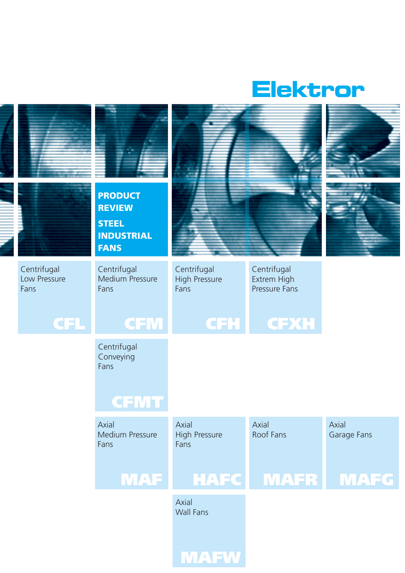

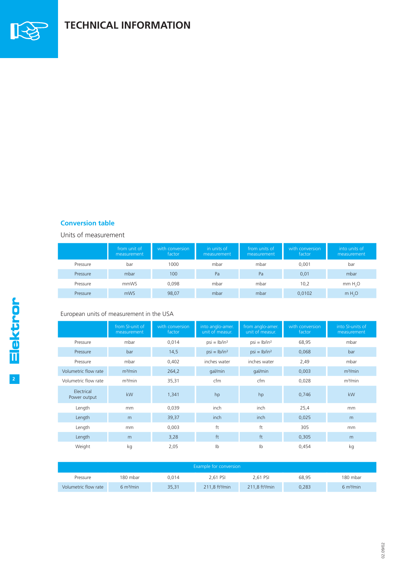

## **TECHNICAL INFORMATION**

### **Conversion table**

Units of measurement

|          | from unit of<br>measurement | with conversion<br>factor | in units of<br>measurement | from units of<br>measurement | with conversion<br>factor | into units of<br>measurement |
|----------|-----------------------------|---------------------------|----------------------------|------------------------------|---------------------------|------------------------------|
| Pressure | bar                         | 1000                      | mbar                       | mbar                         | 0.001                     | bar                          |
| Pressure | mbar                        | 100                       | Pa                         | Pa                           | 0,01                      | mbar                         |
| Pressure | mmWS                        | 0.098                     | mbar                       | mbar                         | 10,2                      | mm H, O                      |
| Pressure | mWS                         | 98,07                     | mbar                       | mbar                         | 0,0102                    | m H <sub>2</sub> O           |

### European units of measurement in the USA

|                            | from SI-unit of<br>measurement | with conversion<br>factor | into anglo-amer.<br>unit of measur. | from anglo-amer.<br>unit of measur. | with conversion<br>factor | into SI-units of<br>measurement |
|----------------------------|--------------------------------|---------------------------|-------------------------------------|-------------------------------------|---------------------------|---------------------------------|
| Pressure                   | mbar                           | 0,014                     | $psi = lb/in2$                      | $psi = lb/in2$                      | 68,95                     | mbar                            |
| Pressure                   | bar                            | 14,5                      | $psi = lb/in2$                      | $psi = lb/in2$                      | 0,068                     | bar                             |
| Pressure                   | mbar                           | 0,402                     | inches water                        | inches water                        | 2,49                      | mbar                            |
| Volumetric flow rate       | m <sup>3</sup> /min            | 264,2                     | gal/min                             | gal/min                             | 0,003                     | m <sup>3</sup> /min             |
| Volumetric flow rate       | m <sup>3</sup> /min            | 35,31                     | cfm                                 | cfm                                 | 0.028                     | m <sup>3</sup> /min             |
| Electrical<br>Power output | kW                             | 1,341                     | hp                                  | hp                                  | 0,746                     | kW                              |
| Length                     | mm                             | 0,039                     | inch                                | inch                                | 25,4                      | mm                              |
| Length                     | m                              | 39,37                     | inch                                | inch                                | 0,025                     | m                               |
| Length                     | mm                             | 0,003                     | ft                                  | ft                                  | 305                       | mm                              |
| Length                     | m                              | 3,28                      | ft                                  | ft                                  | 0,305                     | m                               |
| Weight                     | kg                             | 2,05                      | $\mathsf{lb}$                       | Ib                                  | 0,454                     | kg                              |

| Example for conversion |                       |       |                            |                            |       |                       |
|------------------------|-----------------------|-------|----------------------------|----------------------------|-------|-----------------------|
| Pressure               | 180 mbar              | 0.014 | 2.61 PSI                   | 2.61 PSI                   | 68.95 | 180 mbar              |
| Volumetric flow rate   | 6 m <sup>3</sup> /min | 35.31 | 211.8 ft <sup>3</sup> /min | 211.8 ft <sup>3</sup> /min | 0.283 | 6 m <sup>3</sup> /min |

02.09/02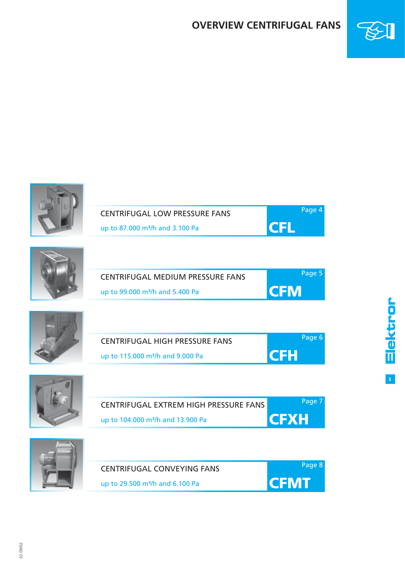### **OVERVIEW CENTRIFUGAL FANS**



**3**

Elektror



02.09/02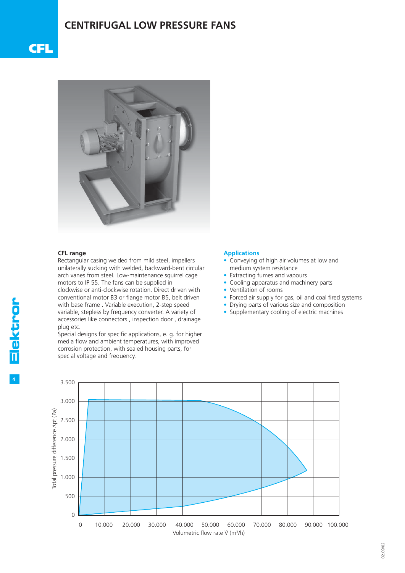### **CENTRIFUGAL LOW PRESSURE FANS**





#### **CFL range**

Rectangular casing welded from mild steel, impellers unilaterally sucking with welded, backward-bent circular arch vanes from steel. Low-maintenance squirrel cage motors to IP 55. The fans can be supplied in clockwise or anti-clockwise rotation. Direct driven with conventional motor B3 or flange motor B5, belt driven with base frame . Variable execution, 2-step speed variable, stepless by frequency converter. A variety of accessories like connectors , inspection door , drainage plug etc.

Special designs for specific applications, e. g. for higher media flow and ambient temperatures, with improved corrosion protection, with sealed housing parts, for special voltage and frequency.

#### **Applications**

- Conveying of high air volumes at low and medium system resistance
- Extracting fumes and vapours
- Cooling apparatus and machinery parts
- Ventilation of rooms
- Forced air supply for gas, oil and coal fired systems
- Drying parts of various size and composition
- Supplementary cooling of electric machines

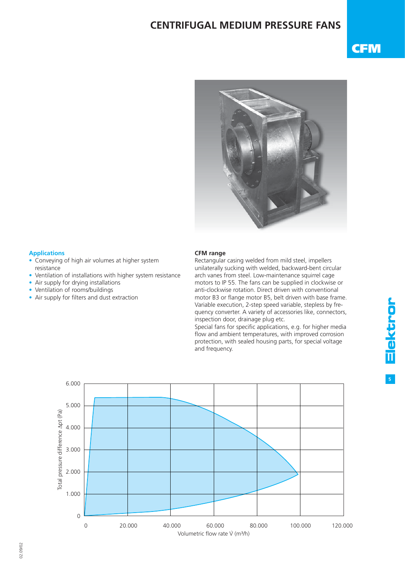### **CENTRIFUGAL MEDIUM PRESSURE FANS**

## **CFM**



### **Applications**

- Conveying of high air volumes at higher system resistance
- Ventilation of installations with higher system resistance
- Air supply for drying installations
- Ventilation of rooms/buildings
- $\bullet$  Air supply for filters and dust extraction

#### **CFM range**

Rectangular casing welded from mild steel, impellers unilaterally sucking with welded, backward-bent circular arch vanes from steel. Low-maintenance squirrel cage motors to IP 55. The fans can be supplied in clockwise or anti-clockwise rotation. Direct driven with conventional motor B3 or flange motor B5, belt driven with base frame. Variable execution, 2-step speed variable, stepless by frequency converter. A variety of accessories like, connectors, inspection door, drainage plug etc.

Special fans for specific applications, e.g. for higher media flow and ambient temperatures, with improved corrosion protection, with sealed housing parts, for special voltage and frequency.



**5**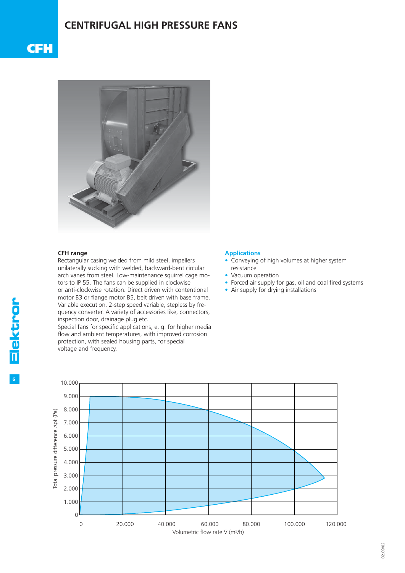### **CENTRIFUGAL HIGH PRESSURE FANS**





#### **CFH range**

Rectangular casing welded from mild steel, impellers unilaterally sucking with welded, backward-bent circular arch vanes from steel. Low-maintenance squirrel cage motors to IP 55. The fans can be supplied in clockwise or anti-clockwise rotation. Direct driven with contentional motor B3 or flange motor B5, belt driven with base frame. Variable execution, 2-step speed variable, stepless by frequency converter. A variety of accessories like, connectors, inspection door, drainage plug etc.

Special fans for specific applications, e. g. for higher media flow and ambient temperatures, with improved corrosion protection, with sealed housing parts, for special voltage and frequency.

#### **Applications**

- Conveying of high volumes at higher system resistance
- Vacuum operation
- Forced air supply for gas, oil and coal fired systems
- Air supply for drying installations

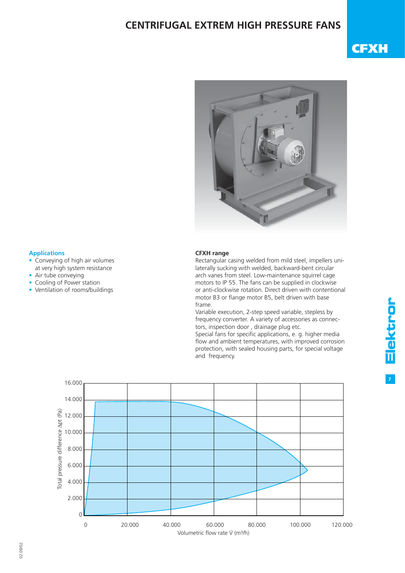### **CENTRIFUGAL EXTREM HIGH PRESSURE FANS**

## **CFXH**



#### **Applications**

- Conveying of high air volumes at very high system resistance
- Air tube conveying
- Cooling of Power station
- Ventilation of rooms/buildings

#### **CFXH range**

Rectangular casing welded from mild steel, impellers unilaterally sucking with welded, backward-bent circular arch vanes from steel. Low-maintenance squirrel cage motors to IP 55. The fans can be supplied in clockwise or anti-clockwise rotation. Direct driven with contentional motor B3 or flange motor B5, belt driven with base frame.

Variable execution, 2-step speed variable, stepless by frequency converter. A variety of accessories as connectors, inspection door , drainage plug etc. Special fans for specific applications, e. g. higher media

flow and ambient temperatures, with improved corrosion protection, with sealed housing parts, for special voltage and frequency.



**7**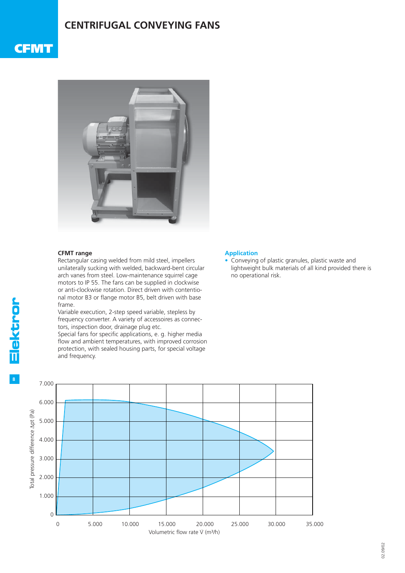### **CENTRIFUGAL CONVEYING FANS**

### **CFMT**



### **CFMT range**

Rectangular casing welded from mild steel, impellers unilaterally sucking with welded, backward-bent circular arch vanes from steel. Low-maintenance squirrel cage motors to IP 55. The fans can be supplied in clockwise or anti-clockwise rotation. Direct driven with contentional motor B3 or flange motor B5, belt driven with base frame.

Variable execution, 2-step speed variable, stepless by frequency converter. A variety of accessoires as connectors, inspection door, drainage plug etc.

Special fans for specific applications, e. g. higher media flow and ambient temperatures, with improved corrosion protection, with sealed housing parts, for special voltage and frequency.

### **Application**

• Conveying of plastic granules, plastic waste and lightweight bulk materials of all kind provided there is no operational risk.

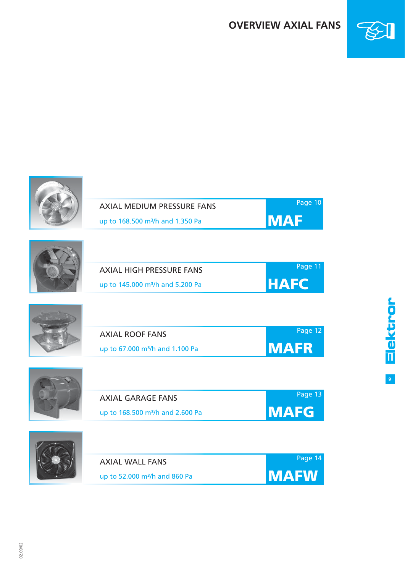### **OVERVIEW AXIAL FANS**

**MAF**

Page 10



**9**

Elektror





| <b>AXIAL HIGH PRESSURE FANS</b>              | Page 11      |
|----------------------------------------------|--------------|
| up to 145,000 m <sup>3</sup> /h and 5.200 Pa | <b>IHAFC</b> |

| <b>AXIAL ROOF FANS</b>                      | Page 12      |
|---------------------------------------------|--------------|
| up to 67.000 m <sup>3</sup> /h and 1.100 Pa | <b>IMAFR</b> |





02.09/02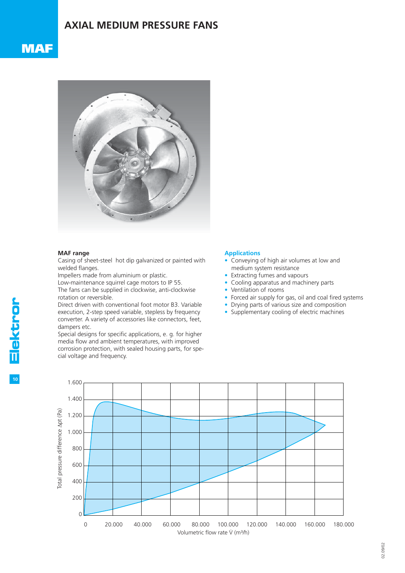### **AXIAL MEDIUM PRESSURE FANS**





#### **MAF range**

Casing of sheet-steel hot dip galvanized or painted with welded flanges.

Impellers made from aluminium or plastic.

Low-maintenance squirrel cage motors to IP 55.

The fans can be supplied in clockwise, anti-clockwise rotation or reversible.

Direct driven with conventional foot motor B3. Variable execution, 2-step speed variable, stepless by frequency converter. A variety of accessories like connectors, feet, dampers etc.

Special designs for specific applications, e. g. for higher media flow and ambient temperatures, with improved corrosion protection, with sealed housing parts, for special voltage and frequency.

#### **Applications**

- Conveying of high air volumes at low and medium system resistance
- Extracting fumes and vapours
- Cooling apparatus and machinery parts
- Ventilation of rooms
- Forced air supply for gas, oil and coal fired systems
- Drying parts of various size and composition
- Supplementary cooling of electric machines

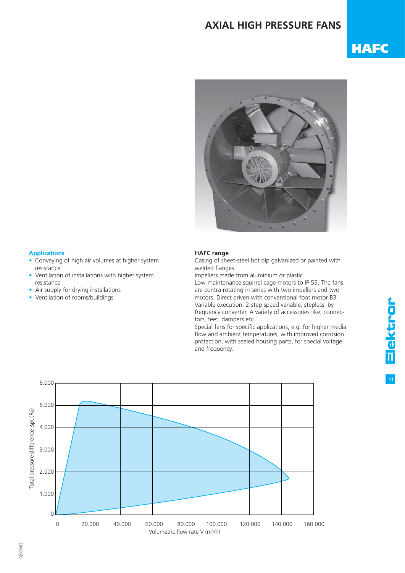### **AXIAL HIGH PRESSURE FANS**

# **HAFC**



### **Applications**

- Conveying of high air volumes at higher system resistance
- Ventilation of installations with higher system resistance
- Air supply for drying installations
- Ventilation of rooms/buildings

### **HAFC range**

Casing of sheet-steel hot dip galvanized or painted with welded flanges.

Impellers made from aluminium or plastic.

Low-maintenance squirrel cage motors to IP 55. The fans are contra rotating in series with two impellers and two motors. Direct driven with conventional foot motor B3. Variable execution, 2-step speed variable, stepless by frequency converter. A variety of accessories like, connectors, feet, dampers etc.

Special fans for specific applications, e.g. for higher media flow and ambient temperatures, with improved corrosion protection, with sealed housing parts, for special voltage and frequency.

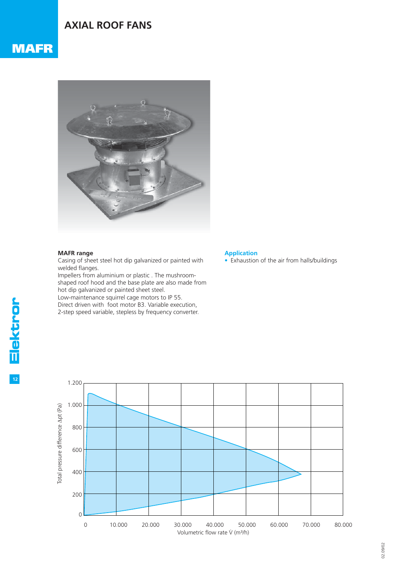### **AXIAL ROOF FANS**



#### **MAFR range**

Casing of sheet steel hot dip galvanized or painted with welded flanges.

Impellers from aluminium or plastic . The mushroomshaped roof hood and the base plate are also made from hot dip galvanized or painted sheet steel. Low-maintenance squirrel cage motors to IP 55. Direct driven with foot motor B3. Variable execution,

2-step speed variable, stepless by frequency converter.

#### **Application**

• Exhaustion of the air from halls/buildings

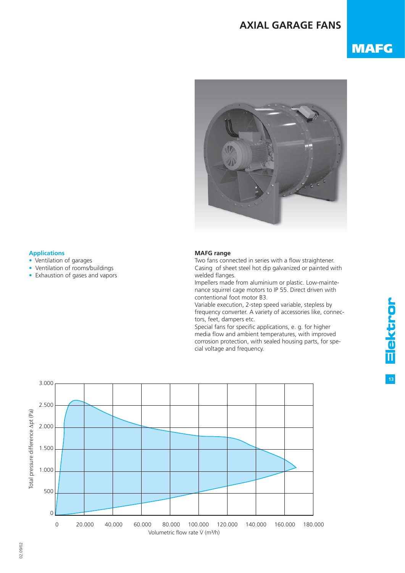### **AXIAL GARAGE FANS**

## **MAFG**



#### **Applications**

- Ventilation of garages
- Ventilation of rooms/buildings
- Exhaustion of gases and vapors

### **MAFG range**

Two fans connected in series with a flow straightener. Casing of sheet steel hot dip galvanized or painted with welded flanges.

Impellers made from aluminium or plastic. Low-maintenance squirrel cage motors to IP 55. Direct driven with contentional foot motor B3.

Variable execution, 2-step speed variable, stepless by frequency converter. A variety of accessories like, connectors, feet, dampers etc.

Special fans for specific applications, e. g. for higher media flow and ambient temperatures, with improved corrosion protection, with sealed housing parts, for special voltage and frequency.

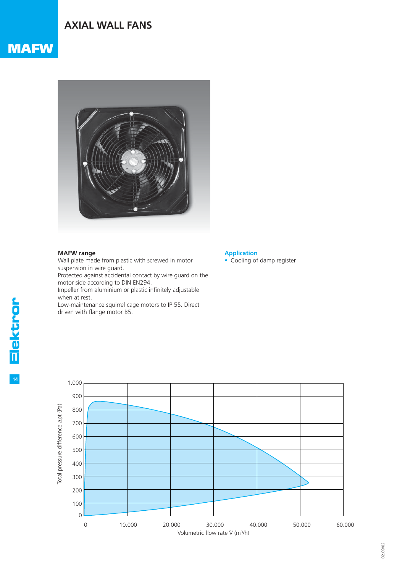### **AXIAL WALL FANS**

### **MAFW**



### **MAFW range**

Wall plate made from plastic with screwed in motor suspension in wire guard.

Protected against accidental contact by wire guard on the motor side according to DIN EN294.

Impeller from aluminium or plastic infinitely adjustable when at rest.

Low-maintenance squirrel cage motors to IP 55. Direct driven with flange motor B5.

### **Application**

• Cooling of damp register

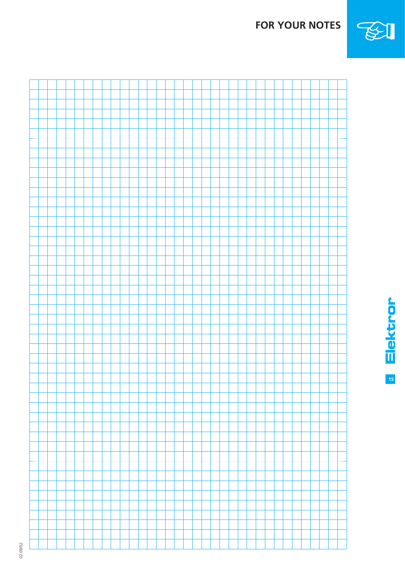**Elektror** 

**FOR YOUR NOTES**